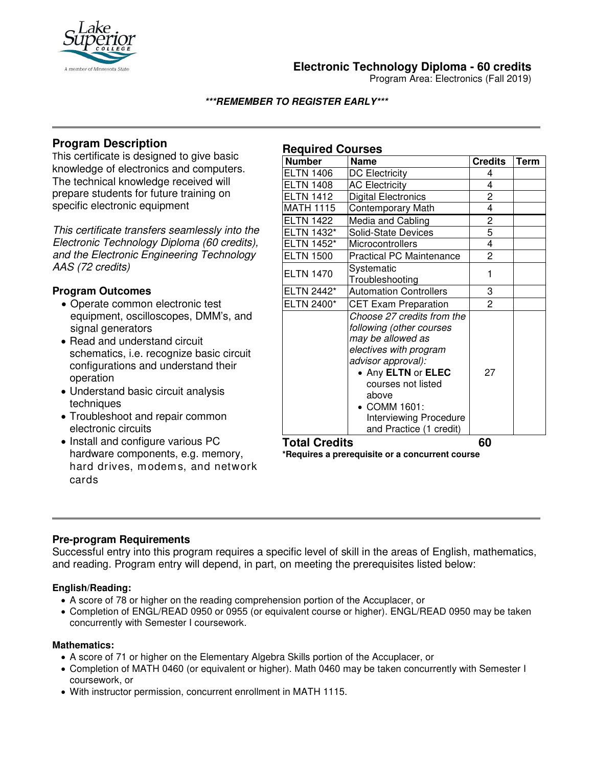

## **Electronic Technology Diploma - 60 credits**

Program Area: Electronics (Fall 2019)

**\*\*\*REMEMBER TO REGISTER EARLY\*\*\***

# **Program Description**

This certificate is designed to give basic knowledge of electronics and computers. The technical knowledge received will prepare students for future training on specific electronic equipment

*This certificate transfers seamlessly into the Electronic Technology Diploma (60 credits), and the Electronic Engineering Technology AAS (72 credits)*

### **Program Outcomes**

- Operate common electronic test equipment, oscilloscopes, DMM's, and signal generators
- Read and understand circuit schematics, i.e. recognize basic circuit configurations and understand their operation
- Understand basic circuit analysis techniques
- Troubleshoot and repair common electronic circuits
- Install and configure various PC hardware components, e.g. memory, hard drives, modems, and network cards

| <b>Required Courses</b> |                                                                                                                                                                                                                                                       |                |             |
|-------------------------|-------------------------------------------------------------------------------------------------------------------------------------------------------------------------------------------------------------------------------------------------------|----------------|-------------|
| <b>Number</b>           | <b>Name</b>                                                                                                                                                                                                                                           | <b>Credits</b> | <b>Term</b> |
| <b>ELTN 1406</b>        | DC Electricity                                                                                                                                                                                                                                        | 4              |             |
| <b>ELTN 1408</b>        | <b>AC Electricity</b>                                                                                                                                                                                                                                 | 4              |             |
| <b>ELTN 1412</b>        | <b>Digital Electronics</b>                                                                                                                                                                                                                            | 2              |             |
| <b>MATH 1115</b>        | Contemporary Math                                                                                                                                                                                                                                     | 4              |             |
| <b>ELTN 1422</b>        | Media and Cabling                                                                                                                                                                                                                                     | 2              |             |
| ELTN 1432*              | <b>Solid-State Devices</b>                                                                                                                                                                                                                            | 5              |             |
| <b>ELTN 1452*</b>       | Microcontrollers                                                                                                                                                                                                                                      | 4              |             |
| <b>ELTN 1500</b>        | <b>Practical PC Maintenance</b>                                                                                                                                                                                                                       | $\overline{c}$ |             |
| <b>ELTN 1470</b>        | Systematic<br>Troubleshooting                                                                                                                                                                                                                         | 1              |             |
| ELTN 2442*              | <b>Automation Controllers</b>                                                                                                                                                                                                                         | 3              |             |
| ELTN 2400*              | <b>CET Exam Preparation</b>                                                                                                                                                                                                                           | $\overline{2}$ |             |
|                         | Choose 27 credits from the<br>following (other courses<br>may be allowed as<br>electives with program<br>advisor approval):<br>• Any ELTN or ELEC<br>courses not listed<br>above<br>• COMM 1601:<br>Interviewing Procedure<br>and Practice (1 credit) | 27             |             |

## **Total Credits 60**

**\*Requires a prerequisite or a concurrent course**

#### **Pre-program Requirements**

Successful entry into this program requires a specific level of skill in the areas of English, mathematics, and reading. Program entry will depend, in part, on meeting the prerequisites listed below:

#### **English/Reading:**

- A score of 78 or higher on the reading comprehension portion of the Accuplacer, or
- Completion of ENGL/READ 0950 or 0955 (or equivalent course or higher). ENGL/READ 0950 may be taken concurrently with Semester I coursework.

#### **Mathematics:**

- A score of 71 or higher on the Elementary Algebra Skills portion of the Accuplacer, or
- Completion of MATH 0460 (or equivalent or higher). Math 0460 may be taken concurrently with Semester I coursework, or
- With instructor permission, concurrent enrollment in MATH 1115.